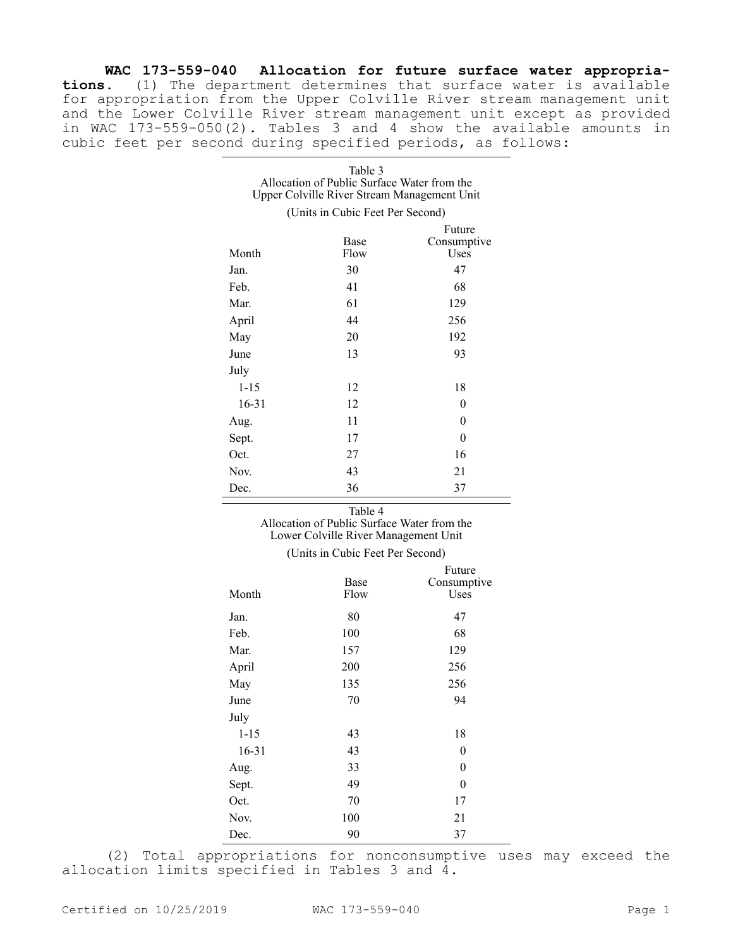**WAC 173-559-040 Allocation for future surface water appropriations.** (1) The department determines that surface water is available for appropriation from the Upper Colville River stream management unit and the Lower Colville River stream management unit except as provided in WAC 173-559-050(2). Tables 3 and 4 show the available amounts in cubic feet per second during specified periods, as follows:

| Table 3                                     |  |
|---------------------------------------------|--|
| Allocation of Public Surface Water from the |  |
| Upper Colville River Stream Management Unit |  |

(Units in Cubic Feet Per Second)

|           |              | Future              |
|-----------|--------------|---------------------|
| Month     | Base<br>Flow | Consumptive<br>Uses |
| Jan.      | 30           | 47                  |
| Feb.      | 41           | 68                  |
| Mar.      | 61           | 129                 |
| April     | 44           | 256                 |
| May       | 20           | 192                 |
| June      | 13           | 93                  |
| July      |              |                     |
| $1 - 15$  | 12           | 18                  |
| $16 - 31$ | 12           | $\boldsymbol{0}$    |
| Aug.      | 11           | $\theta$            |
| Sept.     | 17           | $\boldsymbol{0}$    |
| Oct.      | 27           | 16                  |
| Nov.      | 43           | 21                  |
| Dec.      | 36           | 37                  |

Table 4

Allocation of Public Surface Water from the Lower Colville River Management Unit

## (Units in Cubic Feet Per Second)

|           |      | Future           |
|-----------|------|------------------|
|           | Base | Consumptive      |
| Month     | Flow | Uses             |
| Jan.      | 80   | 47               |
| Feb.      | 100  | 68               |
| Mar.      | 157  | 129              |
| April     | 200  | 256              |
| May       | 135  | 256              |
| June      | 70   | 94               |
| July      |      |                  |
| $1 - 15$  | 43   | 18               |
| $16 - 31$ | 43   | $\boldsymbol{0}$ |
| Aug.      | 33   | $\boldsymbol{0}$ |
| Sept.     | 49   | $\boldsymbol{0}$ |
| Oct.      | 70   | 17               |
| Nov.      | 100  | 21               |
| Dec.      | 90   | 37               |
|           |      |                  |

(2) Total appropriations for nonconsumptive uses may exceed the allocation limits specified in Tables 3 and 4.